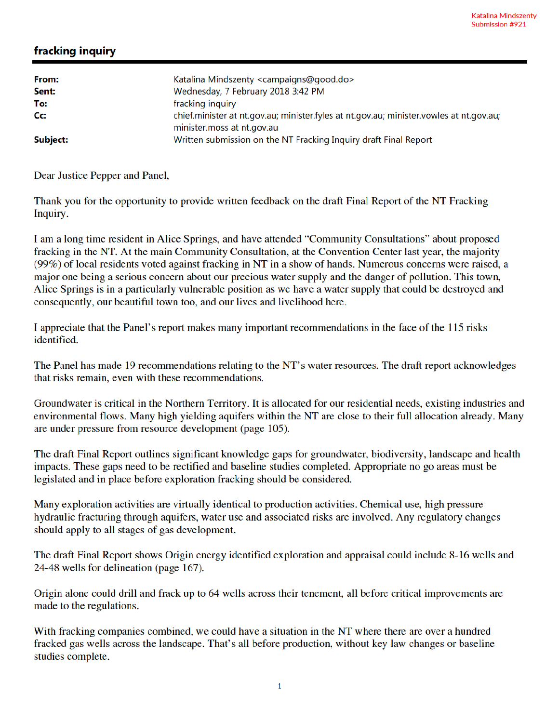## fracking inquiry

| From:<br>Sent: | Katalina Mindszenty <campaigns@good.do><br/>Wednesday, 7 February 2018 3:42 PM</campaigns@good.do>                    |
|----------------|-----------------------------------------------------------------------------------------------------------------------|
| To:            | fracking inquiry                                                                                                      |
| Cc:            | chief.minister at nt.gov.au; minister.fyles at nt.gov.au; minister.vowles at nt.gov.au;<br>minister.moss at nt.gov.au |
| Subject:       | Written submission on the NT Fracking Inquiry draft Final Report                                                      |

Dear Justice Pepper and Panel,

Thank you for the opportunity to provide written feedback on the draft Final Report of the NT Fracking Inquiry.

I am a long time resident in Alice Springs, and have attended "Community Consultations" about proposed fracking in the NT. At the main Community Consultation, at the Convention Center last year, the majority (99%) of local residents voted against fracking in NT in a show of hands. Numerous concerns were raised, a major one being a serious concern about our precious water supply and the danger of pollution. This town, Alice Springs is in a particularly vulnerable position as we have a water supply that could be destroyed and consequently, our beautiful town too, and our lives and livelihood here.

I appreciate that the Panel's report makes many important recommendations in the face of the 115 risks identified.

The Panel has made 19 recommendations relating to the NT's water resources. The draft report acknowledges that risks remain, even with these recommendations.

Groundwater is critical in the Northern Territory. It is allocated for our residential needs, existing industries and environmental flows. Many high yielding aquifers within the NT are close to their full allocation already. Many are under pressure from resource development (page 105).

The draft Final Report outlines significant knowledge gaps for groundwater, biodiversity, landscape and health impacts. These gaps need to be rectified and baseline studies completed. Appropriate no go areas must be legislated and in place before exploration fracking should be considered.

Many exploration activities are virtually identical to production activities. Chemical use, high pressure hydraulic fracturing through aquifers, water use and associated risks are involved. Any regulatory changes should apply to all stages of gas development.

The draft Final Report shows Origin energy identified exploration and appraisal could include 8-16 wells and 24-48 wells for delineation (page 167).

Origin alone could drill and frack up to 64 wells across their tenement, all before critical improvements are made to the regulations.

With fracking companies combined, we could have a situation in the NT where there are over a hundred fracked gas wells across the landscape. That's all before production, without key law changes or baseline studies complete.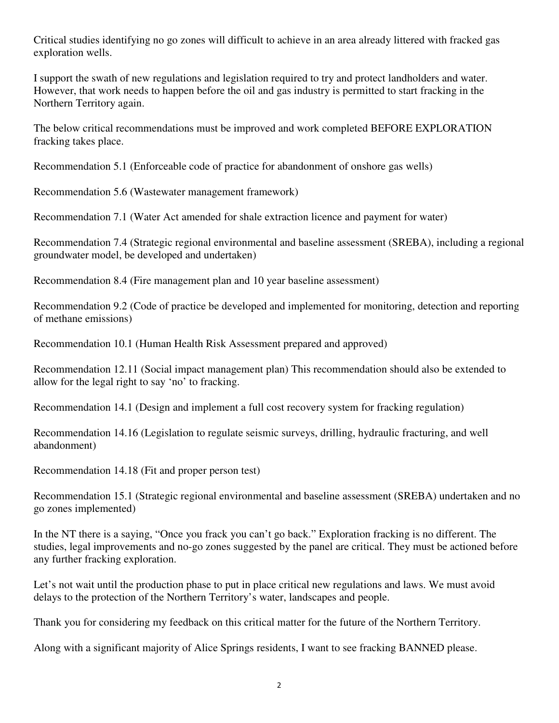Critical studies identifying no go zones will difficult to achieve in an area already littered with fracked gas exploration wells.

I support the swath of new regulations and legislation required to try and protect landholders and water. However, that work needs to happen before the oil and gas industry is permitted to start fracking in the Northern Territory again.

The below critical recommendations must be improved and work completed BEFORE EXPLORATION fracking takes place.

Recommendation 5.1 (Enforceable code of practice for abandonment of onshore gas wells)

Recommendation 5.6 (Wastewater management framework)

Recommendation 7.1 (Water Act amended for shale extraction licence and payment for water)

Recommendation 7.4 (Strategic regional environmental and baseline assessment (SREBA), including a regional groundwater model, be developed and undertaken)

Recommendation 8.4 (Fire management plan and 10 year baseline assessment)

Recommendation 9.2 (Code of practice be developed and implemented for monitoring, detection and reporting of methane emissions)

Recommendation 10.1 (Human Health Risk Assessment prepared and approved)

Recommendation 12.11 (Social impact management plan) This recommendation should also be extended to allow for the legal right to say 'no' to fracking.

Recommendation 14.1 (Design and implement a full cost recovery system for fracking regulation)

Recommendation 14.16 (Legislation to regulate seismic surveys, drilling, hydraulic fracturing, and well abandonment)

Recommendation 14.18 (Fit and proper person test)

Recommendation 15.1 (Strategic regional environmental and baseline assessment (SREBA) undertaken and no go zones implemented)

In the NT there is a saying, "Once you frack you can't go back." Exploration fracking is no different. The studies, legal improvements and no-go zones suggested by the panel are critical. They must be actioned before any further fracking exploration.

Let's not wait until the production phase to put in place critical new regulations and laws. We must avoid delays to the protection of the Northern Territory's water, landscapes and people.

Thank you for considering my feedback on this critical matter for the future of the Northern Territory.

Along with a significant majority of Alice Springs residents, I want to see fracking BANNED please.